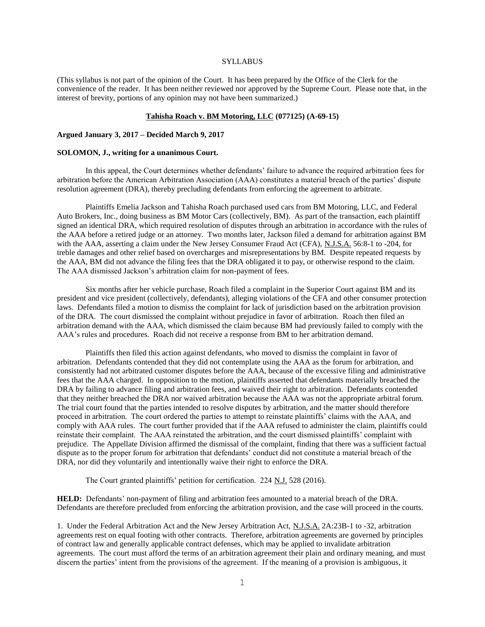## **SYLLABUS**

(This syllabus is not part of the opinion of the Court. It has been prepared by the Office of the Clerk for the convenience of the reader. It has been neither reviewed nor approved by the Supreme Court. Please note that, in the interest of brevity, portions of any opinion may not have been summarized.)

## **Tahisha Roach v. BM Motoring, LLC (077125) (A-69-15)**

### **Argued January 3, 2017 – Decided March 9, 2017**

# **SOLOMON, J., writing for a unanimous Court.**

In this appeal, the Court determines whether defendants' failure to advance the required arbitration fees for arbitration before the American Arbitration Association (AAA) constitutes a material breach of the parties' dispute resolution agreement (DRA), thereby precluding defendants from enforcing the agreement to arbitrate.

Plaintiffs Emelia Jackson and Tahisha Roach purchased used cars from BM Motoring, LLC, and Federal Auto Brokers, Inc., doing business as BM Motor Cars (collectively, BM). As part of the transaction, each plaintiff signed an identical DRA, which required resolution of disputes through an arbitration in accordance with the rules of the AAA before a retired judge or an attorney. Two months later, Jackson filed a demand for arbitration against BM with the AAA, asserting a claim under the New Jersey Consumer Fraud Act (CFA), N.J.S.A. 56:8-1 to -204, for treble damages and other relief based on overcharges and misrepresentations by BM. Despite repeated requests by the AAA, BM did not advance the filing fees that the DRA obligated it to pay, or otherwise respond to the claim. The AAA dismissed Jackson's arbitration claim for non-payment of fees.

Six months after her vehicle purchase, Roach filed a complaint in the Superior Court against BM and its president and vice president (collectively, defendants), alleging violations of the CFA and other consumer protection laws. Defendants filed a motion to dismiss the complaint for lack of jurisdiction based on the arbitration provision of the DRA. The court dismissed the complaint without prejudice in favor of arbitration. Roach then filed an arbitration demand with the AAA, which dismissed the claim because BM had previously failed to comply with the AAA's rules and procedures. Roach did not receive a response from BM to her arbitration demand.

Plaintiffs then filed this action against defendants, who moved to dismiss the complaint in favor of arbitration. Defendants contended that they did not contemplate using the AAA as the forum for arbitration, and consistently had not arbitrated customer disputes before the AAA, because of the excessive filing and administrative fees that the AAA charged. In opposition to the motion, plaintiffs asserted that defendants materially breached the DRA by failing to advance filing and arbitration fees, and waived their right to arbitration. Defendants contended that they neither breached the DRA nor waived arbitration because the AAA was not the appropriate arbitral forum. The trial court found that the parties intended to resolve disputes by arbitration, and the matter should therefore proceed in arbitration. The court ordered the parties to attempt to reinstate plaintiffs' claims with the AAA, and comply with AAA rules. The court further provided that if the AAA refused to administer the claim, plaintiffs could reinstate their complaint. The AAA reinstated the arbitration, and the court dismissed plaintiffs' complaint with prejudice. The Appellate Division affirmed the dismissal of the complaint, finding that there was a sufficient factual dispute as to the proper forum for arbitration that defendants' conduct did not constitute a material breach of the DRA, nor did they voluntarily and intentionally waive their right to enforce the DRA.

The Court granted plaintiffs' petition for certification. 224 N.J. 528 (2016).

**HELD:** Defendants' non-payment of filing and arbitration fees amounted to a material breach of the DRA. Defendants are therefore precluded from enforcing the arbitration provision, and the case will proceed in the courts.

1. Under the Federal Arbitration Act and the New Jersey Arbitration Act, N.J.S.A. 2A:23B-1 to -32, arbitration agreements rest on equal footing with other contracts. Therefore, arbitration agreements are governed by principles of contract law and generally applicable contract defenses, which may be applied to invalidate arbitration agreements. The court must afford the terms of an arbitration agreement their plain and ordinary meaning, and must discern the parties' intent from the provisions of the agreement. If the meaning of a provision is ambiguous, it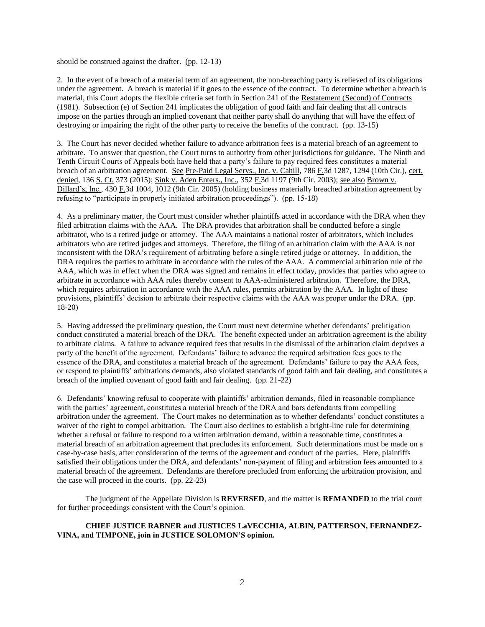should be construed against the drafter. (pp. 12-13)

2. In the event of a breach of a material term of an agreement, the non-breaching party is relieved of its obligations under the agreement. A breach is material if it goes to the essence of the contract. To determine whether a breach is material, this Court adopts the flexible criteria set forth in Section 241 of the Restatement (Second) of Contracts (1981). Subsection (e) of Section 241 implicates the obligation of good faith and fair dealing that all contracts impose on the parties through an implied covenant that neither party shall do anything that will have the effect of destroying or impairing the right of the other party to receive the benefits of the contract. (pp. 13-15)

3. The Court has never decided whether failure to advance arbitration fees is a material breach of an agreement to arbitrate. To answer that question, the Court turns to authority from other jurisdictions for guidance. The Ninth and Tenth Circuit Courts of Appeals both have held that a party's failure to pay required fees constitutes a material breach of an arbitration agreement. See Pre-Paid Legal Servs., Inc. v. Cahill, 786 F.3d 1287, 1294 (10th Cir.), cert. denied, 136 S. Ct. 373 (2015); Sink v. Aden Enters., Inc., 352 F.3d 1197 (9th Cir. 2003); see also Brown v. Dillard's, Inc., 430 F.3d 1004, 1012 (9th Cir. 2005) (holding business materially breached arbitration agreement by refusing to "participate in properly initiated arbitration proceedings"). (pp. 15-18)

4. As a preliminary matter, the Court must consider whether plaintiffs acted in accordance with the DRA when they filed arbitration claims with the AAA. The DRA provides that arbitration shall be conducted before a single arbitrator, who is a retired judge or attorney. The AAA maintains a national roster of arbitrators, which includes arbitrators who are retired judges and attorneys. Therefore, the filing of an arbitration claim with the AAA is not inconsistent with the DRA's requirement of arbitrating before a single retired judge or attorney. In addition, the DRA requires the parties to arbitrate in accordance with the rules of the AAA. A commercial arbitration rule of the AAA, which was in effect when the DRA was signed and remains in effect today, provides that parties who agree to arbitrate in accordance with AAA rules thereby consent to AAA-administered arbitration. Therefore, the DRA, which requires arbitration in accordance with the AAA rules, permits arbitration by the AAA. In light of these provisions, plaintiffs' decision to arbitrate their respective claims with the AAA was proper under the DRA. (pp. 18-20)

5. Having addressed the preliminary question, the Court must next determine whether defendants' prelitigation conduct constituted a material breach of the DRA. The benefit expected under an arbitration agreement is the ability to arbitrate claims. A failure to advance required fees that results in the dismissal of the arbitration claim deprives a party of the benefit of the agreement. Defendants' failure to advance the required arbitration fees goes to the essence of the DRA, and constitutes a material breach of the agreement. Defendants' failure to pay the AAA fees, or respond to plaintiffs' arbitrations demands, also violated standards of good faith and fair dealing, and constitutes a breach of the implied covenant of good faith and fair dealing. (pp. 21-22)

6. Defendants' knowing refusal to cooperate with plaintiffs' arbitration demands, filed in reasonable compliance with the parties' agreement, constitutes a material breach of the DRA and bars defendants from compelling arbitration under the agreement. The Court makes no determination as to whether defendants' conduct constitutes a waiver of the right to compel arbitration. The Court also declines to establish a bright-line rule for determining whether a refusal or failure to respond to a written arbitration demand, within a reasonable time, constitutes a material breach of an arbitration agreement that precludes its enforcement. Such determinations must be made on a case-by-case basis, after consideration of the terms of the agreement and conduct of the parties. Here, plaintiffs satisfied their obligations under the DRA, and defendants' non-payment of filing and arbitration fees amounted to a material breach of the agreement. Defendants are therefore precluded from enforcing the arbitration provision, and the case will proceed in the courts. (pp. 22-23)

The judgment of the Appellate Division is **REVERSED**, and the matter is **REMANDED** to the trial court for further proceedings consistent with the Court's opinion.

## **CHIEF JUSTICE RABNER and JUSTICES LaVECCHIA, ALBIN, PATTERSON, FERNANDEZ-VINA, and TIMPONE, join in JUSTICE SOLOMON'S opinion.**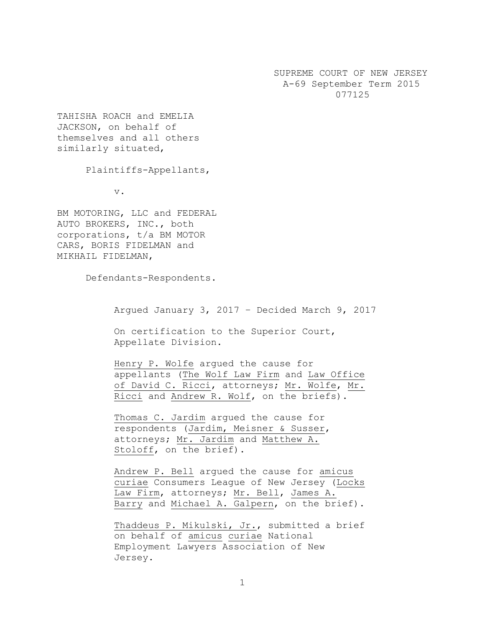SUPREME COURT OF NEW JERSEY A-69 September Term 2015 077125

TAHISHA ROACH and EMELIA JACKSON, on behalf of themselves and all others similarly situated,

Plaintiffs-Appellants,

v.

BM MOTORING, LLC and FEDERAL AUTO BROKERS, INC., both corporations, t/a BM MOTOR CARS, BORIS FIDELMAN and MIKHAIL FIDELMAN,

Defendants-Respondents.

Argued January 3, 2017 – Decided March 9, 2017

On certification to the Superior Court, Appellate Division.

Henry P. Wolfe argued the cause for appellants (The Wolf Law Firm and Law Office of David C. Ricci, attorneys; Mr. Wolfe, Mr. Ricci and Andrew R. Wolf, on the briefs).

Thomas C. Jardim argued the cause for respondents (Jardim, Meisner & Susser, attorneys; Mr. Jardim and Matthew A. Stoloff, on the brief).

Andrew P. Bell argued the cause for amicus curiae Consumers League of New Jersey (Locks Law Firm, attorneys; Mr. Bell, James A. Barry and Michael A. Galpern, on the brief).

Thaddeus P. Mikulski, Jr., submitted a brief on behalf of amicus curiae National Employment Lawyers Association of New Jersey.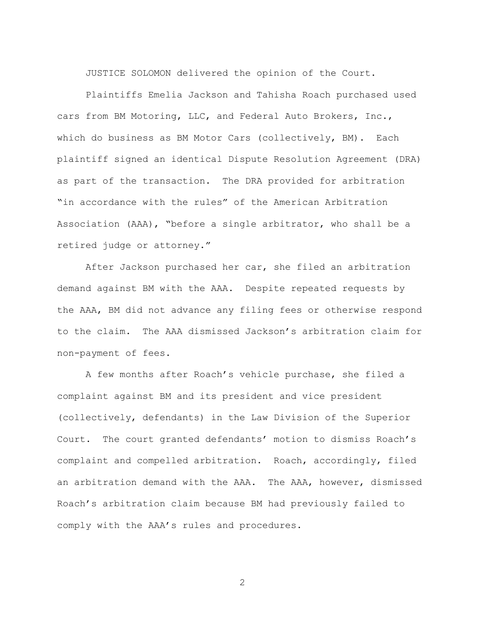JUSTICE SOLOMON delivered the opinion of the Court.

Plaintiffs Emelia Jackson and Tahisha Roach purchased used cars from BM Motoring, LLC, and Federal Auto Brokers, Inc., which do business as BM Motor Cars (collectively, BM). Each plaintiff signed an identical Dispute Resolution Agreement (DRA) as part of the transaction. The DRA provided for arbitration "in accordance with the rules" of the American Arbitration Association (AAA), "before a single arbitrator, who shall be a retired judge or attorney."

After Jackson purchased her car, she filed an arbitration demand against BM with the AAA. Despite repeated requests by the AAA, BM did not advance any filing fees or otherwise respond to the claim. The AAA dismissed Jackson's arbitration claim for non-payment of fees.

A few months after Roach's vehicle purchase, she filed a complaint against BM and its president and vice president (collectively, defendants) in the Law Division of the Superior Court. The court granted defendants' motion to dismiss Roach's complaint and compelled arbitration. Roach, accordingly, filed an arbitration demand with the AAA. The AAA, however, dismissed Roach's arbitration claim because BM had previously failed to comply with the AAA's rules and procedures.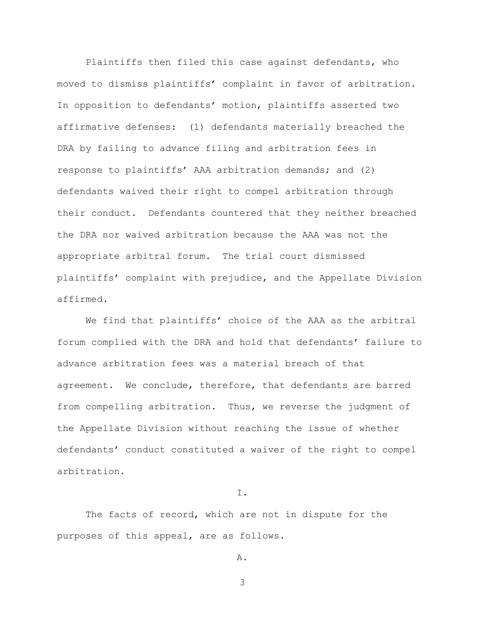Plaintiffs then filed this case against defendants, who moved to dismiss plaintiffs' complaint in favor of arbitration. In opposition to defendants' motion, plaintiffs asserted two affirmative defenses: (1) defendants materially breached the DRA by failing to advance filing and arbitration fees in response to plaintiffs' AAA arbitration demands; and (2) defendants waived their right to compel arbitration through their conduct. Defendants countered that they neither breached the DRA nor waived arbitration because the AAA was not the appropriate arbitral forum. The trial court dismissed plaintiffs' complaint with prejudice, and the Appellate Division affirmed.

We find that plaintiffs' choice of the AAA as the arbitral forum complied with the DRA and hold that defendants' failure to advance arbitration fees was a material breach of that agreement. We conclude, therefore, that defendants are barred from compelling arbitration. Thus, we reverse the judgment of the Appellate Division without reaching the issue of whether defendants' conduct constituted a waiver of the right to compel arbitration.

I.

The facts of record, which are not in dispute for the purposes of this appeal, are as follows.

A.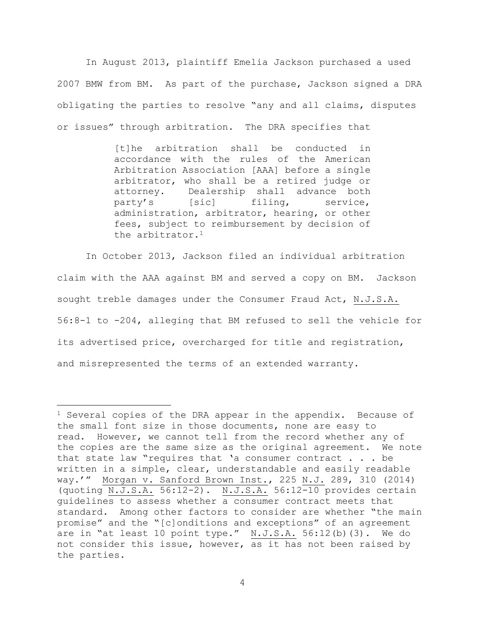In August 2013, plaintiff Emelia Jackson purchased a used 2007 BMW from BM. As part of the purchase, Jackson signed a DRA obligating the parties to resolve "any and all claims, disputes or issues" through arbitration. The DRA specifies that

> [t]he arbitration shall be conducted in accordance with the rules of the American Arbitration Association [AAA] before a single arbitrator, who shall be a retired judge or attorney. Dealership shall advance both party's [sic] filing, service, administration, arbitrator, hearing, or other fees, subject to reimbursement by decision of the arbitrator.<sup>1</sup>

In October 2013, Jackson filed an individual arbitration claim with the AAA against BM and served a copy on BM. Jackson sought treble damages under the Consumer Fraud Act, N.J.S.A. 56:8-1 to -204, alleging that BM refused to sell the vehicle for its advertised price, overcharged for title and registration, and misrepresented the terms of an extended warranty.

 $\overline{a}$ 

<sup>&</sup>lt;sup>1</sup> Several copies of the DRA appear in the appendix. Because of the small font size in those documents, none are easy to read. However, we cannot tell from the record whether any of the copies are the same size as the original agreement. We note that state law "requires that 'a consumer contract . . . be written in a simple, clear, understandable and easily readable way.'" Morgan v. Sanford Brown Inst., 225 N.J. 289, 310 (2014) (quoting N.J.S.A. 56:12-2). N.J.S.A. 56:12-10 provides certain guidelines to assess whether a consumer contract meets that standard. Among other factors to consider are whether "the main promise" and the "[c]onditions and exceptions" of an agreement are in "at least 10 point type." N.J.S.A. 56:12(b)(3). We do not consider this issue, however, as it has not been raised by the parties.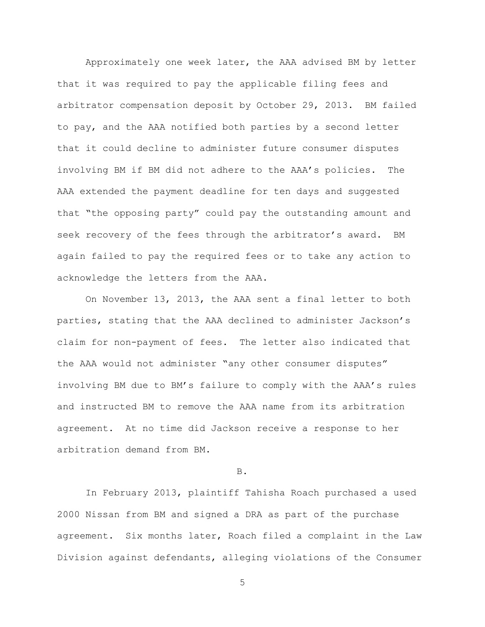Approximately one week later, the AAA advised BM by letter that it was required to pay the applicable filing fees and arbitrator compensation deposit by October 29, 2013. BM failed to pay, and the AAA notified both parties by a second letter that it could decline to administer future consumer disputes involving BM if BM did not adhere to the AAA's policies. The AAA extended the payment deadline for ten days and suggested that "the opposing party" could pay the outstanding amount and seek recovery of the fees through the arbitrator's award. BM again failed to pay the required fees or to take any action to acknowledge the letters from the AAA.

On November 13, 2013, the AAA sent a final letter to both parties, stating that the AAA declined to administer Jackson's claim for non-payment of fees. The letter also indicated that the AAA would not administer "any other consumer disputes" involving BM due to BM's failure to comply with the AAA's rules and instructed BM to remove the AAA name from its arbitration agreement. At no time did Jackson receive a response to her arbitration demand from BM.

B.

In February 2013, plaintiff Tahisha Roach purchased a used 2000 Nissan from BM and signed a DRA as part of the purchase agreement. Six months later, Roach filed a complaint in the Law Division against defendants, alleging violations of the Consumer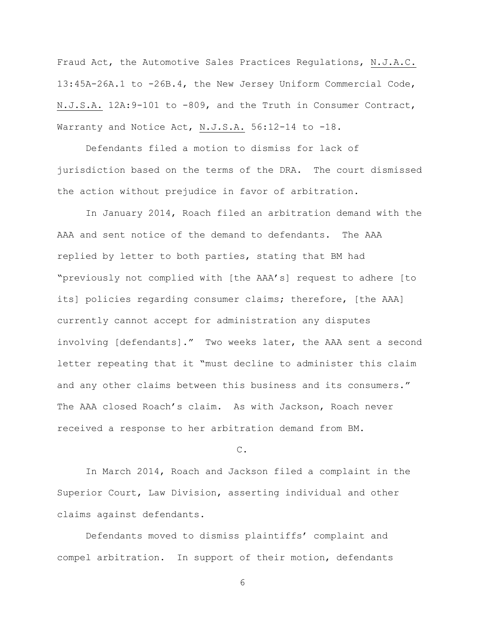Fraud Act, the Automotive Sales Practices Regulations, N.J.A.C. 13:45A-26A.1 to -26B.4, the New Jersey Uniform Commercial Code, N.J.S.A. 12A:9-101 to -809, and the Truth in Consumer Contract, Warranty and Notice Act, N.J.S.A. 56:12-14 to -18.

Defendants filed a motion to dismiss for lack of jurisdiction based on the terms of the DRA. The court dismissed the action without prejudice in favor of arbitration.

In January 2014, Roach filed an arbitration demand with the AAA and sent notice of the demand to defendants. The AAA replied by letter to both parties, stating that BM had "previously not complied with [the AAA's] request to adhere [to its] policies regarding consumer claims; therefore, [the AAA] currently cannot accept for administration any disputes involving [defendants]." Two weeks later, the AAA sent a second letter repeating that it "must decline to administer this claim and any other claims between this business and its consumers." The AAA closed Roach's claim. As with Jackson, Roach never received a response to her arbitration demand from BM.

C.

In March 2014, Roach and Jackson filed a complaint in the Superior Court, Law Division, asserting individual and other claims against defendants.

Defendants moved to dismiss plaintiffs' complaint and compel arbitration. In support of their motion, defendants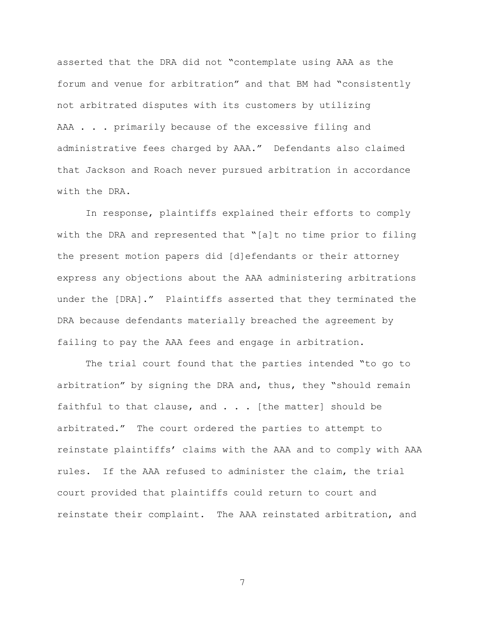asserted that the DRA did not "contemplate using AAA as the forum and venue for arbitration" and that BM had "consistently not arbitrated disputes with its customers by utilizing AAA . . . primarily because of the excessive filing and administrative fees charged by AAA." Defendants also claimed that Jackson and Roach never pursued arbitration in accordance with the DRA.

In response, plaintiffs explained their efforts to comply with the DRA and represented that "[a]t no time prior to filing the present motion papers did [d]efendants or their attorney express any objections about the AAA administering arbitrations under the [DRA]." Plaintiffs asserted that they terminated the DRA because defendants materially breached the agreement by failing to pay the AAA fees and engage in arbitration.

The trial court found that the parties intended "to go to arbitration" by signing the DRA and, thus, they "should remain faithful to that clause, and . . . [the matter] should be arbitrated." The court ordered the parties to attempt to reinstate plaintiffs' claims with the AAA and to comply with AAA rules. If the AAA refused to administer the claim, the trial court provided that plaintiffs could return to court and reinstate their complaint. The AAA reinstated arbitration, and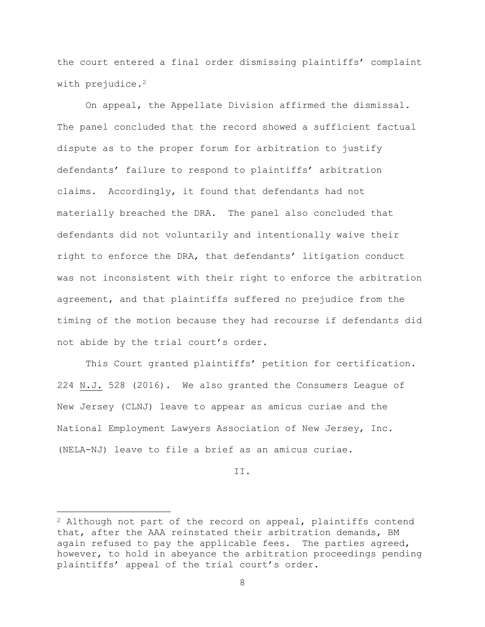the court entered a final order dismissing plaintiffs' complaint with prejudice.<sup>2</sup>

On appeal, the Appellate Division affirmed the dismissal. The panel concluded that the record showed a sufficient factual dispute as to the proper forum for arbitration to justify defendants' failure to respond to plaintiffs' arbitration claims. Accordingly, it found that defendants had not materially breached the DRA. The panel also concluded that defendants did not voluntarily and intentionally waive their right to enforce the DRA, that defendants' litigation conduct was not inconsistent with their right to enforce the arbitration agreement, and that plaintiffs suffered no prejudice from the timing of the motion because they had recourse if defendants did not abide by the trial court's order.

This Court granted plaintiffs' petition for certification. 224 N.J. 528 (2016). We also granted the Consumers League of New Jersey (CLNJ) leave to appear as amicus curiae and the National Employment Lawyers Association of New Jersey, Inc. (NELA-NJ) leave to file a brief as an amicus curiae.

II.

 $\overline{a}$ 

 $2$  Although not part of the record on appeal, plaintiffs contend that, after the AAA reinstated their arbitration demands, BM again refused to pay the applicable fees. The parties agreed, however, to hold in abeyance the arbitration proceedings pending plaintiffs' appeal of the trial court's order.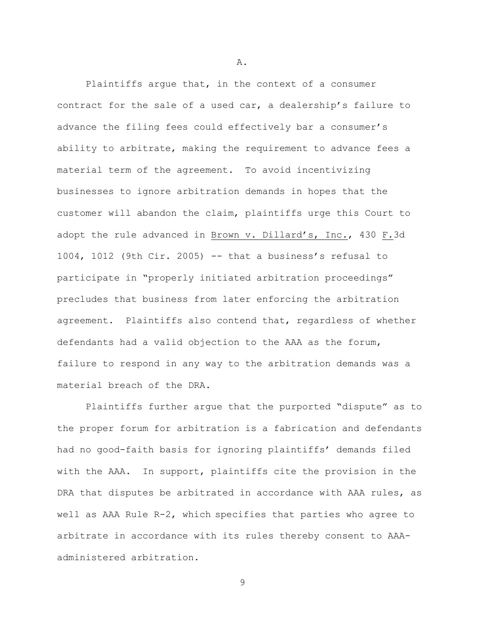Plaintiffs argue that, in the context of a consumer contract for the sale of a used car, a dealership's failure to advance the filing fees could effectively bar a consumer's ability to arbitrate, making the requirement to advance fees a material term of the agreement. To avoid incentivizing businesses to ignore arbitration demands in hopes that the customer will abandon the claim, plaintiffs urge this Court to adopt the rule advanced in Brown v. Dillard's, Inc., 430 F.3d 1004, 1012 (9th Cir. 2005) -- that a business's refusal to participate in "properly initiated arbitration proceedings" precludes that business from later enforcing the arbitration agreement. Plaintiffs also contend that, regardless of whether defendants had a valid objection to the AAA as the forum, failure to respond in any way to the arbitration demands was a material breach of the DRA.

Plaintiffs further argue that the purported "dispute" as to the proper forum for arbitration is a fabrication and defendants had no good-faith basis for ignoring plaintiffs' demands filed with the AAA. In support, plaintiffs cite the provision in the DRA that disputes be arbitrated in accordance with AAA rules, as well as AAA Rule R-2, which specifies that parties who agree to arbitrate in accordance with its rules thereby consent to AAAadministered arbitration.

9

A.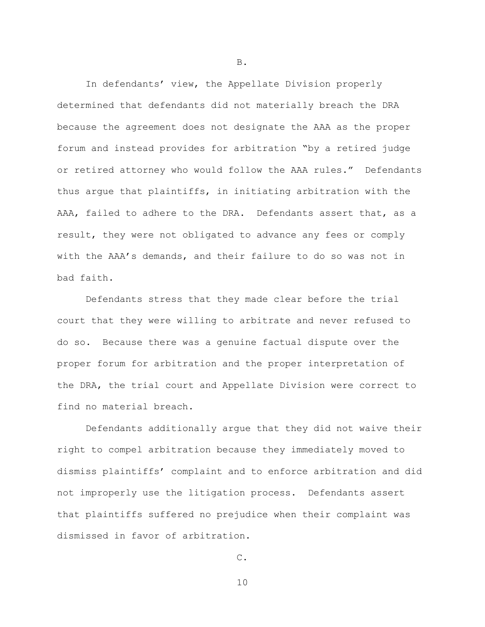In defendants' view, the Appellate Division properly determined that defendants did not materially breach the DRA because the agreement does not designate the AAA as the proper forum and instead provides for arbitration "by a retired judge or retired attorney who would follow the AAA rules." Defendants thus argue that plaintiffs, in initiating arbitration with the AAA, failed to adhere to the DRA. Defendants assert that, as a result, they were not obligated to advance any fees or comply with the AAA's demands, and their failure to do so was not in bad faith.

Defendants stress that they made clear before the trial court that they were willing to arbitrate and never refused to do so. Because there was a genuine factual dispute over the proper forum for arbitration and the proper interpretation of the DRA, the trial court and Appellate Division were correct to find no material breach.

Defendants additionally argue that they did not waive their right to compel arbitration because they immediately moved to dismiss plaintiffs' complaint and to enforce arbitration and did not improperly use the litigation process. Defendants assert that plaintiffs suffered no prejudice when their complaint was dismissed in favor of arbitration.

B.

10

C.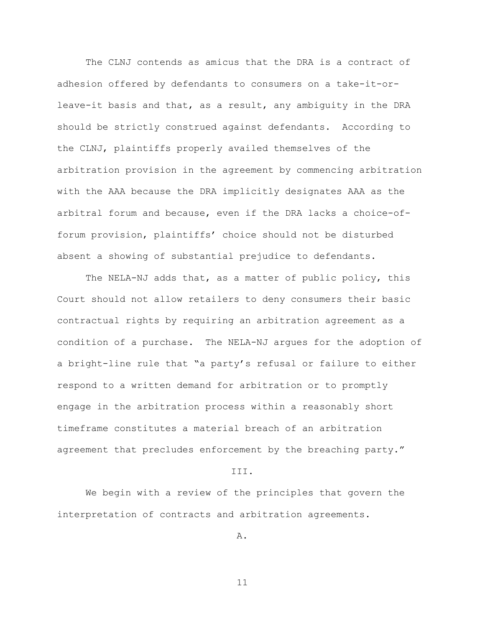The CLNJ contends as amicus that the DRA is a contract of adhesion offered by defendants to consumers on a take-it-orleave-it basis and that, as a result, any ambiguity in the DRA should be strictly construed against defendants. According to the CLNJ, plaintiffs properly availed themselves of the arbitration provision in the agreement by commencing arbitration with the AAA because the DRA implicitly designates AAA as the arbitral forum and because, even if the DRA lacks a choice-offorum provision, plaintiffs' choice should not be disturbed absent a showing of substantial prejudice to defendants.

The NELA-NJ adds that, as a matter of public policy, this Court should not allow retailers to deny consumers their basic contractual rights by requiring an arbitration agreement as a condition of a purchase. The NELA-NJ argues for the adoption of a bright-line rule that "a party's refusal or failure to either respond to a written demand for arbitration or to promptly engage in the arbitration process within a reasonably short timeframe constitutes a material breach of an arbitration agreement that precludes enforcement by the breaching party."

#### III.

We begin with a review of the principles that govern the interpretation of contracts and arbitration agreements.

A.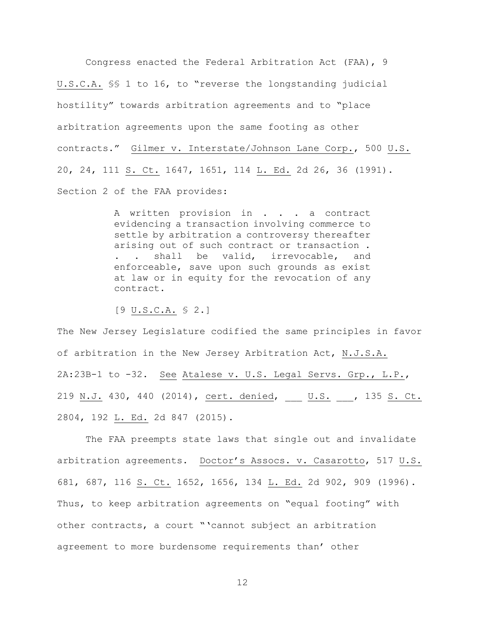Congress enacted the Federal Arbitration Act (FAA), 9 U.S.C.A. §§ 1 to 16, to "reverse the longstanding judicial hostility" towards arbitration agreements and to "place arbitration agreements upon the same footing as other contracts." Gilmer v. Interstate/Johnson Lane Corp., 500 U.S. 20, 24, 111 S. Ct. 1647, 1651, 114 L. Ed. 2d 26, 36 (1991). Section 2 of the FAA provides:

> A written provision in . . . a contract evidencing a transaction involving commerce to settle by arbitration a controversy thereafter arising out of such contract or transaction . . shall be valid, irrevocable, and enforceable, save upon such grounds as exist at law or in equity for the revocation of any contract.

[9 U.S.C.A. § 2.]

The New Jersey Legislature codified the same principles in favor of arbitration in the New Jersey Arbitration Act, N.J.S.A. 2A:23B-1 to -32. See Atalese v. U.S. Legal Servs. Grp., L.P., 219 N.J. 430, 440 (2014), cert. denied, \_\_\_ U.S. \_\_\_, 135 S. Ct. 2804, 192 L. Ed. 2d 847 (2015).

The FAA preempts state laws that single out and invalidate arbitration agreements. Doctor's Assocs. v. Casarotto, 517 U.S. 681, 687, 116 S. Ct. 1652, 1656, 134 L. Ed. 2d 902, 909 (1996). Thus, to keep arbitration agreements on "equal footing" with other contracts, a court "'cannot subject an arbitration agreement to more burdensome requirements than' other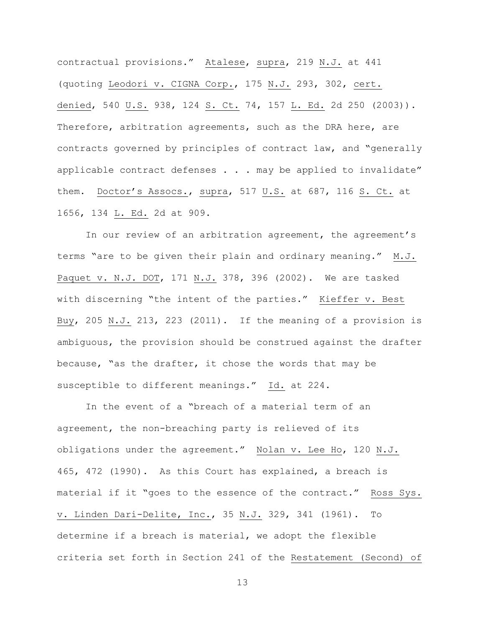contractual provisions." Atalese, supra, 219 N.J. at 441 (quoting Leodori v. CIGNA Corp., 175 N.J. 293, 302, cert. denied, 540 U.S. 938, 124 S. Ct. 74, 157 L. Ed. 2d 250 (2003)). Therefore, arbitration agreements, such as the DRA here, are contracts governed by principles of contract law, and "generally applicable contract defenses  $\ldots$  . may be applied to invalidate" them. Doctor's Assocs., supra, 517 U.S. at 687, 116 S. Ct. at 1656, 134 L. Ed. 2d at 909.

In our review of an arbitration agreement, the agreement's terms "are to be given their plain and ordinary meaning." M.J. Paquet v. N.J. DOT, 171 N.J. 378, 396 (2002). We are tasked with discerning "the intent of the parties." Kieffer v. Best Buy, 205 N.J. 213, 223 (2011). If the meaning of a provision is ambiguous, the provision should be construed against the drafter because, "as the drafter, it chose the words that may be susceptible to different meanings." Id. at 224.

In the event of a "breach of a material term of an agreement, the non-breaching party is relieved of its obligations under the agreement." Nolan v. Lee Ho, 120 N.J. 465, 472 (1990). As this Court has explained, a breach is material if it "goes to the essence of the contract." Ross Sys. v. Linden Dari-Delite, Inc., 35 N.J. 329, 341 (1961). To determine if a breach is material, we adopt the flexible criteria set forth in Section 241 of the Restatement (Second) of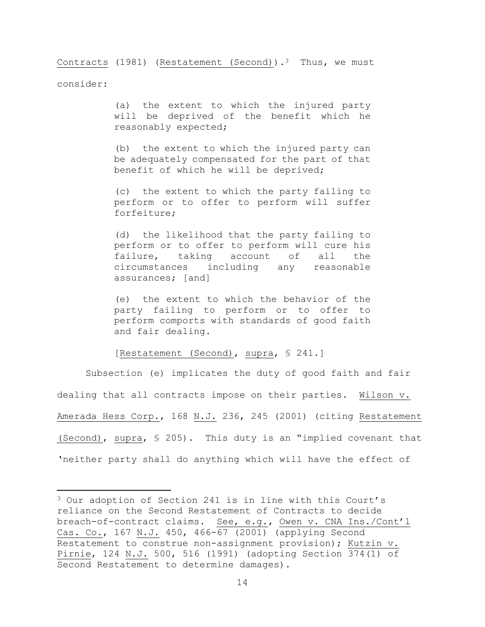Contracts (1981) (Restatement (Second)).<sup>3</sup> Thus, we must consider:

> (a) the extent to which the injured party will be deprived of the benefit which he reasonably expected;

> (b) the extent to which the injured party can be adequately compensated for the part of that benefit of which he will be deprived;

> (c) the extent to which the party failing to perform or to offer to perform will suffer forfeiture;

> (d) the likelihood that the party failing to perform or to offer to perform will cure his failure, taking account of all the circumstances including any reasonable assurances; [and]

> (e) the extent to which the behavior of the party failing to perform or to offer to perform comports with standards of good faith and fair dealing.

# [Restatement (Second), supra, § 241.]

Subsection (e) implicates the duty of good faith and fair dealing that all contracts impose on their parties. Wilson v. Amerada Hess Corp., 168 N.J. 236, 245 (2001) (citing Restatement (Second), supra, § 205). This duty is an "implied covenant that 'neither party shall do anything which will have the effect of

 $\overline{\phantom{a}}$ 

<sup>3</sup> Our adoption of Section 241 is in line with this Court's reliance on the Second Restatement of Contracts to decide breach-of-contract claims. See, e.g., Owen v. CNA Ins./Cont'l Cas. Co., 167 N.J. 450, 466-67 (2001) (applying Second Restatement to construe non-assignment provision); Kutzin v. Pirnie, 124 N.J. 500, 516 (1991) (adopting Section 374(1) of Second Restatement to determine damages).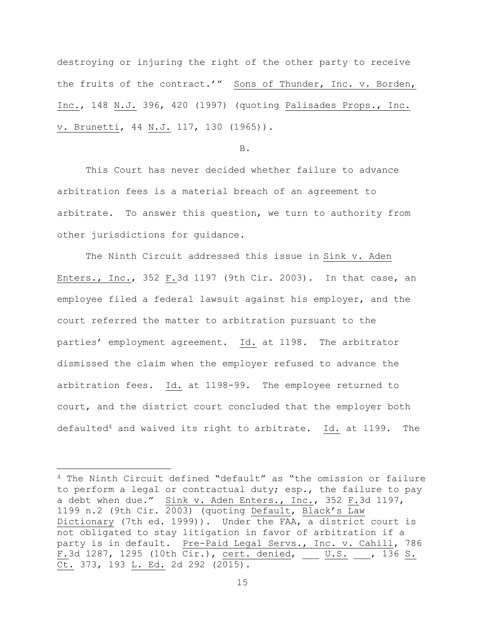destroying or injuring the right of the other party to receive the fruits of the contract.'" Sons of Thunder, Inc. v. Borden, Inc., 148 N.J. 396, 420 (1997) (quoting Palisades Props., Inc. v. Brunetti, 44 N.J. 117, 130 (1965)).

B.

This Court has never decided whether failure to advance arbitration fees is a material breach of an agreement to arbitrate. To answer this question, we turn to authority from other jurisdictions for guidance.

The Ninth Circuit addressed this issue in Sink v. Aden Enters., Inc., 352 F.3d 1197 (9th Cir. 2003). In that case, an employee filed a federal lawsuit against his employer, and the court referred the matter to arbitration pursuant to the parties' employment agreement. Id. at 1198. The arbitrator dismissed the claim when the employer refused to advance the arbitration fees. Id. at 1198-99. The employee returned to court, and the district court concluded that the employer both defaulted<sup>4</sup> and waived its right to arbitrate. Id. at 1199. The

<sup>4</sup> The Ninth Circuit defined "default" as "the omission or failure to perform a legal or contractual duty; esp., the failure to pay a debt when due." Sink v. Aden Enters., Inc., 352 F.3d 1197, 1199 n.2 (9th Cir. 2003) (quoting Default, Black's Law Dictionary (7th ed. 1999)). Under the FAA, a district court is not obligated to stay litigation in favor of arbitration if a party is in default. Pre-Paid Legal Servs., Inc. v. Cahill, 786 F.3d 1287, 1295 (10th Cir.), cert. denied, \_\_\_ U.S. \_\_\_, 136 S. Ct. 373, 193 L. Ed. 2d 292 (2015).

 $\overline{a}$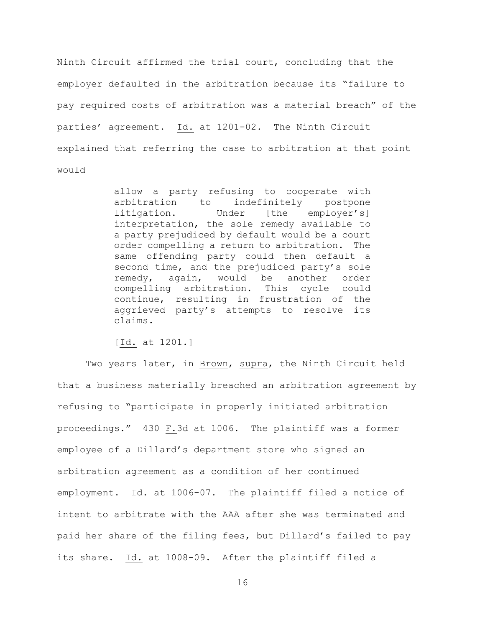Ninth Circuit affirmed the trial court, concluding that the employer defaulted in the arbitration because its "failure to pay required costs of arbitration was a material breach" of the parties' agreement. Id. at 1201-02. The Ninth Circuit explained that referring the case to arbitration at that point would

> allow a party refusing to cooperate with arbitration to indefinitely postpone litigation. Under [the employer's] interpretation, the sole remedy available to a party prejudiced by default would be a court order compelling a return to arbitration. The same offending party could then default a second time, and the prejudiced party's sole remedy, again, would be another order compelling arbitration. This cycle could continue, resulting in frustration of the aggrieved party's attempts to resolve its claims.

[Id. at 1201.]

Two years later, in Brown, supra, the Ninth Circuit held that a business materially breached an arbitration agreement by refusing to "participate in properly initiated arbitration proceedings." 430 F.3d at 1006. The plaintiff was a former employee of a Dillard's department store who signed an arbitration agreement as a condition of her continued employment. Id. at 1006-07. The plaintiff filed a notice of intent to arbitrate with the AAA after she was terminated and paid her share of the filing fees, but Dillard's failed to pay its share. Id. at 1008-09. After the plaintiff filed a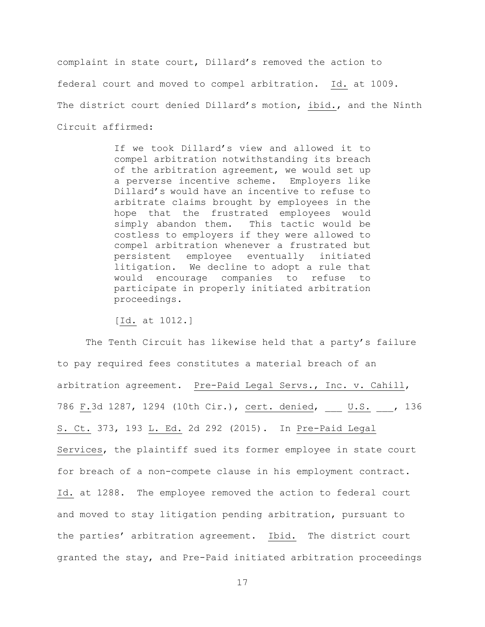complaint in state court, Dillard's removed the action to federal court and moved to compel arbitration. Id. at 1009. The district court denied Dillard's motion, ibid., and the Ninth Circuit affirmed:

> If we took Dillard's view and allowed it to compel arbitration notwithstanding its breach of the arbitration agreement, we would set up a perverse incentive scheme. Employers like Dillard's would have an incentive to refuse to arbitrate claims brought by employees in the hope that the frustrated employees would simply abandon them. This tactic would be costless to employers if they were allowed to compel arbitration whenever a frustrated but persistent employee eventually initiated litigation. We decline to adopt a rule that would encourage companies to refuse to participate in properly initiated arbitration proceedings.

[Id. at 1012.]

The Tenth Circuit has likewise held that a party's failure to pay required fees constitutes a material breach of an arbitration agreement. Pre-Paid Legal Servs., Inc. v. Cahill, 786 F.3d 1287, 1294 (10th Cir.), cert. denied, \_\_\_ U.S. \_\_, 136 S. Ct. 373, 193 L. Ed. 2d 292 (2015). In Pre-Paid Legal Services, the plaintiff sued its former employee in state court for breach of a non-compete clause in his employment contract. Id. at 1288. The employee removed the action to federal court and moved to stay litigation pending arbitration, pursuant to the parties' arbitration agreement. Ibid. The district court granted the stay, and Pre-Paid initiated arbitration proceedings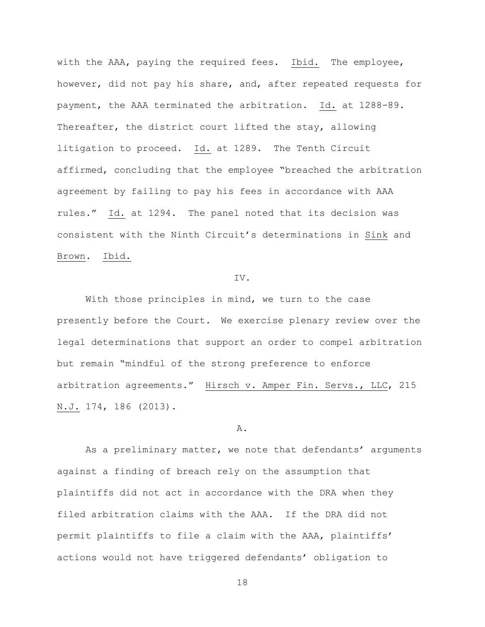with the AAA, paying the required fees. Ibid. The employee, however, did not pay his share, and, after repeated requests for payment, the AAA terminated the arbitration. Id. at 1288-89. Thereafter, the district court lifted the stay, allowing litigation to proceed. Id. at 1289. The Tenth Circuit affirmed, concluding that the employee "breached the arbitration agreement by failing to pay his fees in accordance with AAA rules." Id. at 1294. The panel noted that its decision was consistent with the Ninth Circuit's determinations in Sink and Brown. Ibid.

#### IV.

With those principles in mind, we turn to the case presently before the Court. We exercise plenary review over the legal determinations that support an order to compel arbitration but remain "mindful of the strong preference to enforce arbitration agreements." Hirsch v. Amper Fin. Servs., LLC, 215 N.J. 174, 186 (2013).

#### A.

As a preliminary matter, we note that defendants' arguments against a finding of breach rely on the assumption that plaintiffs did not act in accordance with the DRA when they filed arbitration claims with the AAA. If the DRA did not permit plaintiffs to file a claim with the AAA, plaintiffs' actions would not have triggered defendants' obligation to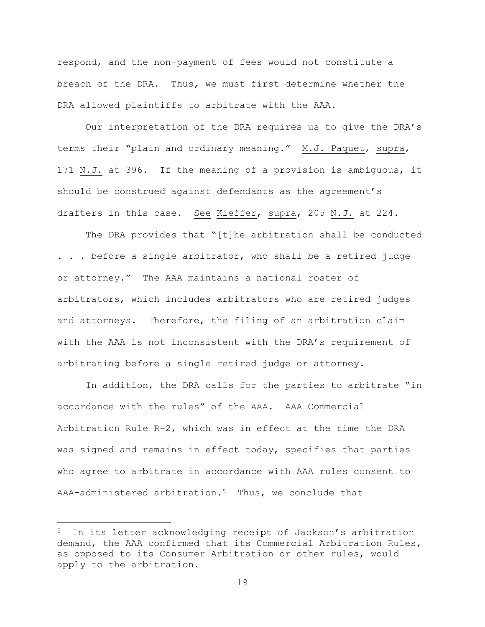respond, and the non-payment of fees would not constitute a breach of the DRA. Thus, we must first determine whether the DRA allowed plaintiffs to arbitrate with the AAA.

Our interpretation of the DRA requires us to give the DRA's terms their "plain and ordinary meaning." M.J. Paquet, supra, 171 N.J. at 396. If the meaning of a provision is ambiguous, it should be construed against defendants as the agreement's drafters in this case. See Kieffer, supra, 205 N.J. at 224.

The DRA provides that "[t]he arbitration shall be conducted . . . before a single arbitrator, who shall be a retired judge or attorney." The AAA maintains a national roster of arbitrators, which includes arbitrators who are retired judges and attorneys. Therefore, the filing of an arbitration claim with the AAA is not inconsistent with the DRA's requirement of arbitrating before a single retired judge or attorney.

In addition, the DRA calls for the parties to arbitrate "in accordance with the rules" of the AAA. AAA Commercial Arbitration Rule R-2, which was in effect at the time the DRA was signed and remains in effect today, specifies that parties who agree to arbitrate in accordance with AAA rules consent to AAA-administered arbitration.<sup>5</sup> Thus, we conclude that

l

<sup>5</sup> In its letter acknowledging receipt of Jackson's arbitration demand, the AAA confirmed that its Commercial Arbitration Rules, as opposed to its Consumer Arbitration or other rules, would apply to the arbitration.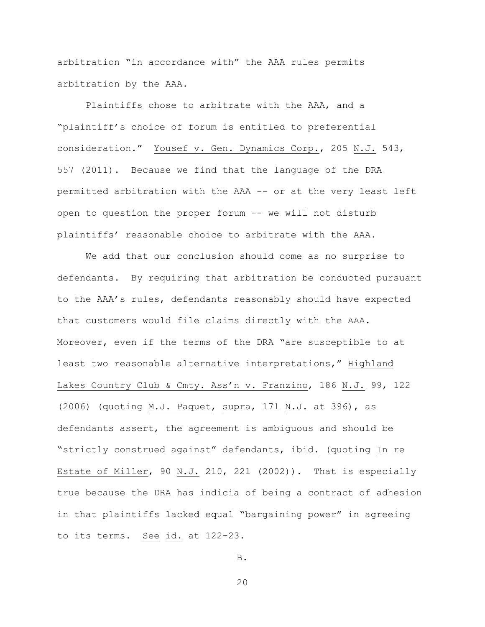arbitration "in accordance with" the AAA rules permits arbitration by the AAA.

Plaintiffs chose to arbitrate with the AAA, and a "plaintiff's choice of forum is entitled to preferential consideration." Yousef v. Gen. Dynamics Corp., 205 N.J. 543, 557 (2011). Because we find that the language of the DRA permitted arbitration with the AAA -- or at the very least left open to question the proper forum -- we will not disturb plaintiffs' reasonable choice to arbitrate with the AAA.

We add that our conclusion should come as no surprise to defendants. By requiring that arbitration be conducted pursuant to the AAA's rules, defendants reasonably should have expected that customers would file claims directly with the AAA. Moreover, even if the terms of the DRA "are susceptible to at least two reasonable alternative interpretations," Highland Lakes Country Club & Cmty. Ass'n v. Franzino, 186 N.J. 99, 122 (2006) (quoting M.J. Paquet, supra, 171 N.J. at 396), as defendants assert, the agreement is ambiguous and should be "strictly construed against" defendants, ibid. (quoting In re Estate of Miller, 90 N.J. 210, 221 (2002)). That is especially true because the DRA has indicia of being a contract of adhesion in that plaintiffs lacked equal "bargaining power" in agreeing to its terms. See id. at 122-23.

B.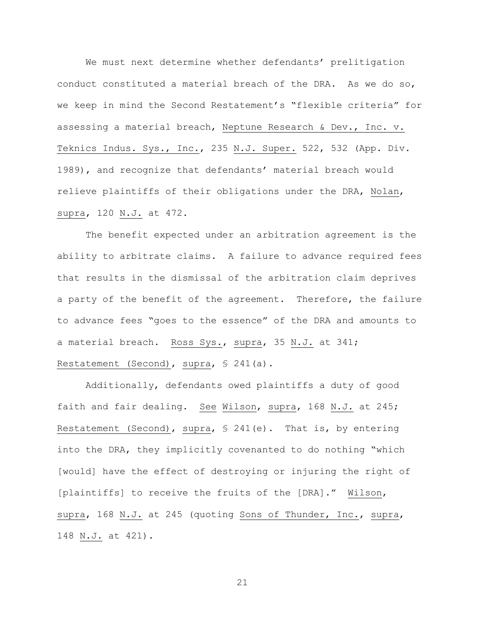We must next determine whether defendants' prelitigation conduct constituted a material breach of the DRA. As we do so, we keep in mind the Second Restatement's "flexible criteria" for assessing a material breach, Neptune Research & Dev., Inc. v. Teknics Indus. Sys., Inc., 235 N.J. Super. 522, 532 (App. Div. 1989), and recognize that defendants' material breach would relieve plaintiffs of their obligations under the DRA, Nolan, supra, 120 N.J. at 472.

The benefit expected under an arbitration agreement is the ability to arbitrate claims. A failure to advance required fees that results in the dismissal of the arbitration claim deprives a party of the benefit of the agreement. Therefore, the failure to advance fees "goes to the essence" of the DRA and amounts to a material breach. Ross Sys., supra, 35 N.J. at 341; Restatement (Second), supra, § 241(a).

Additionally, defendants owed plaintiffs a duty of good faith and fair dealing. See Wilson, supra, 168 N.J. at 245; Restatement (Second), supra, § 241(e). That is, by entering into the DRA, they implicitly covenanted to do nothing "which [would] have the effect of destroying or injuring the right of [plaintiffs] to receive the fruits of the [DRA]." Wilson, supra, 168 N.J. at 245 (quoting Sons of Thunder, Inc., supra, 148 N.J. at 421).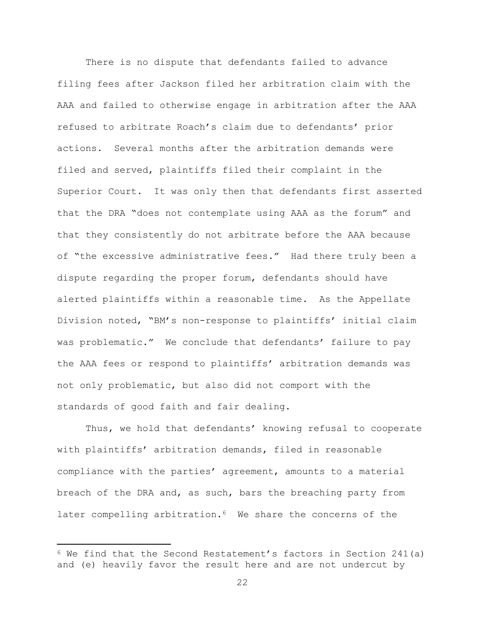There is no dispute that defendants failed to advance filing fees after Jackson filed her arbitration claim with the AAA and failed to otherwise engage in arbitration after the AAA refused to arbitrate Roach's claim due to defendants' prior actions. Several months after the arbitration demands were filed and served, plaintiffs filed their complaint in the Superior Court. It was only then that defendants first asserted that the DRA "does not contemplate using AAA as the forum" and that they consistently do not arbitrate before the AAA because of "the excessive administrative fees." Had there truly been a dispute regarding the proper forum, defendants should have alerted plaintiffs within a reasonable time. As the Appellate Division noted, "BM's non-response to plaintiffs' initial claim was problematic." We conclude that defendants' failure to pay the AAA fees or respond to plaintiffs' arbitration demands was not only problematic, but also did not comport with the standards of good faith and fair dealing.

Thus, we hold that defendants' knowing refusal to cooperate with plaintiffs' arbitration demands, filed in reasonable compliance with the parties' agreement, amounts to a material breach of the DRA and, as such, bars the breaching party from later compelling arbitration.<sup>6</sup> We share the concerns of the

 $\overline{\phantom{a}}$ 

 $6$  We find that the Second Restatement's factors in Section 241(a) and (e) heavily favor the result here and are not undercut by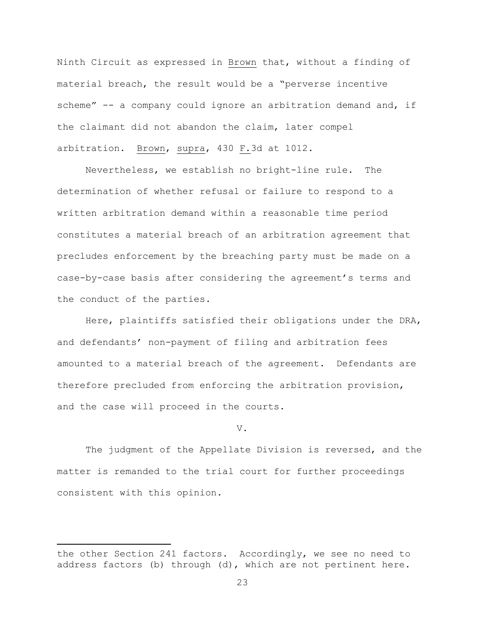Ninth Circuit as expressed in Brown that, without a finding of material breach, the result would be a "perverse incentive scheme" -- a company could ignore an arbitration demand and, if the claimant did not abandon the claim, later compel arbitration. Brown, supra, 430 F.3d at 1012.

Nevertheless, we establish no bright-line rule. The determination of whether refusal or failure to respond to a written arbitration demand within a reasonable time period constitutes a material breach of an arbitration agreement that precludes enforcement by the breaching party must be made on a case-by-case basis after considering the agreement's terms and the conduct of the parties.

Here, plaintiffs satisfied their obligations under the DRA, and defendants' non-payment of filing and arbitration fees amounted to a material breach of the agreement. Defendants are therefore precluded from enforcing the arbitration provision, and the case will proceed in the courts.

V.

The judgment of the Appellate Division is reversed, and the matter is remanded to the trial court for further proceedings consistent with this opinion.

 $\overline{\phantom{a}}$ 

the other Section 241 factors. Accordingly, we see no need to address factors (b) through (d), which are not pertinent here.